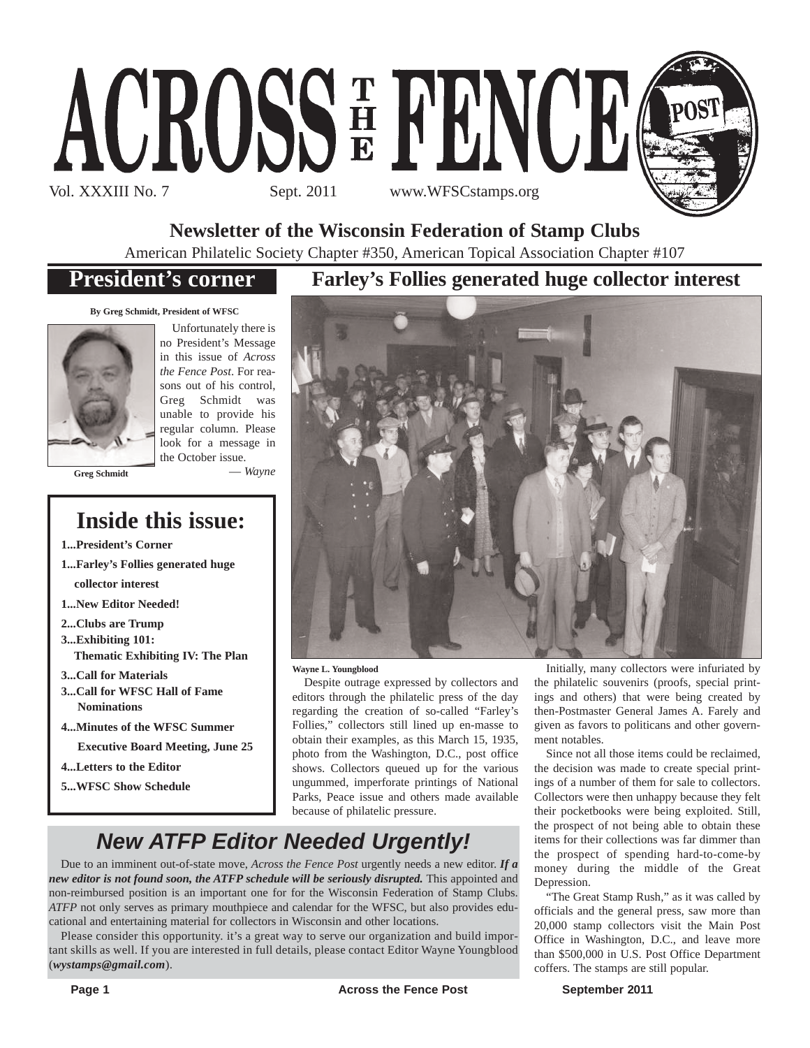

**Newsletter of the Wisconsin Federation of Stamp Clubs**

American Philatelic Society Chapter #350, American Topical Association Chapter #107

## **President's corner**

**By Greg Schmidt, President of WFSC**



Unfortunately there is no President's Message in this issue of *Across the Fence Post*. For reasons out of his control, Greg Schmidt was unable to provide his regular column. Please look for a message in the October issue. — *Wayne*

**Greg Schmidt**

## **Inside this issue:**

**1...President's Corner**

- **1...Farley's Follies generated huge collector interest**
- **1...New Editor Needed!**
- **2...Clubs are Trump**
- **3...Exhibiting 101:**
	- **Thematic Exhibiting IV: The Plan**
- **3...Call for Materials**
- **3...Call for WFSC Hall of Fame Nominations**
- **4...Minutes of the WFSC Summer**
	- **Executive Board Meeting, June 25**
- **4...Letters to the Editor**
- **5...WFSC Show Schedule**

### **Farley's Follies generated huge collector interest**



**Wayne L. Youngblood**

Despite outrage expressed by collectors and editors through the philatelic press of the day regarding the creation of so-called "Farley's Follies," collectors still lined up en-masse to obtain their examples, as this March 15, 1935, photo from the Washington, D.C., post office shows. Collectors queued up for the various ungummed, imperforate printings of National Parks, Peace issue and others made available because of philatelic pressure.

Initially, many collectors were infuriated by the philatelic souvenirs (proofs, special printings and others) that were being created by then-Postmaster General James A. Farely and given as favors to politicans and other government notables.

Since not all those items could be reclaimed, the decision was made to create special printings of a number of them for sale to collectors. Collectors were then unhappy because they felt their pocketbooks were being exploited. Still, the prospect of not being able to obtain these items for their collections was far dimmer than the prospect of spending hard-to-come-by money during the middle of the Great Depression.

"The Great Stamp Rush," as it was called by officials and the general press, saw more than 20,000 stamp collectors visit the Main Post Office in Washington, D.C., and leave more than \$500,000 in U.S. Post Office Department coffers. The stamps are still popular.

## *New ATFP Editor Needed Urgently!*

Due to an imminent out-of-state move, *Across the Fence Post* urgently needs a new editor. *If a new editor is not found soon, the ATFP schedule will be seriously disrupted.* This appointed and non-reimbursed position is an important one for for the Wisconsin Federation of Stamp Clubs. *ATFP* not only serves as primary mouthpiece and calendar for the WFSC, but also provides educational and entertaining material for collectors in Wisconsin and other locations.

Please consider this opportunity. it's a great way to serve our organization and build important skills as well. If you are interested in full details, please contact Editor Wayne Youngblood (*wystamps@gmail.com*).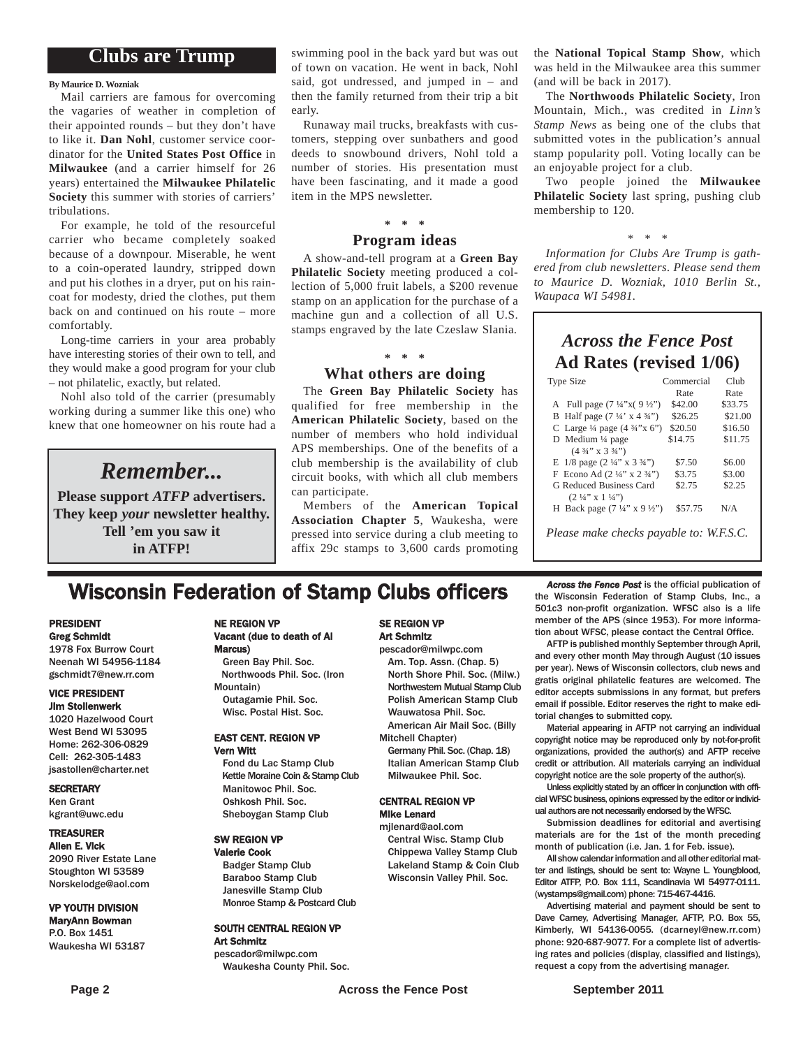### **Clubs are Trump**

#### **By Maurice D. Wozniak**

Mail carriers are famous for overcoming the vagaries of weather in completion of their appointed rounds – but they don't have to like it. **Dan Nohl**, customer service coordinator for the **United States Post Office** in **Milwaukee** (and a carrier himself for 26 years) entertained the **Milwaukee Philatelic Society** this summer with stories of carriers' tribulations.

For example, he told of the resourceful carrier who became completely soaked because of a downpour. Miserable, he went to a coin-operated laundry, stripped down and put his clothes in a dryer, put on his raincoat for modesty, dried the clothes, put them back on and continued on his route – more comfortably.

Long-time carriers in your area probably have interesting stories of their own to tell, and they would make a good program for your club – not philatelic, exactly, but related.

Nohl also told of the carrier (presumably working during a summer like this one) who knew that one homeowner on his route had a

### *Remember...*

**Please support** *ATFP* **advertisers. They keep** *your* **newsletter healthy. Tell 'em you saw it in ATFP!**

swimming pool in the back yard but was out of town on vacation. He went in back, Nohl said, got undressed, and jumped in – and then the family returned from their trip a bit early.

Runaway mail trucks, breakfasts with customers, stepping over sunbathers and good deeds to snowbound drivers, Nohl told a number of stories. His presentation must have been fascinating, and it made a good item in the MPS newsletter.

### **\* \* \***

#### **Program ideas**

A show-and-tell program at a **Green Bay Philatelic Society** meeting produced a collection of 5,000 fruit labels, a \$200 revenue stamp on an application for the purchase of a machine gun and a collection of all U.S. stamps engraved by the late Czeslaw Slania.

#### **\* \* \***

#### **What others are doing**

The **Green Bay Philatelic Society** has qualified for free membership in the **American Philatelic Society**, based on the number of members who hold individual APS memberships. One of the benefits of a club membership is the availability of club circuit books, with which all club members can participate.

Members of the **American Topical Association Chapter 5**, Waukesha, were pressed into service during a club meeting to affix 29c stamps to 3,600 cards promoting the **National Topical Stamp Show**, which was held in the Milwaukee area this summer (and will be back in 2017).

The **Northwoods Philatelic Society**, Iron Mountain, Mich., was credited in *Linn's Stamp News* as being one of the clubs that submitted votes in the publication's annual stamp popularity poll. Voting locally can be an enjoyable project for a club.

Two people joined the **Milwaukee Philatelic Society** last spring, pushing club membership to 120.

#### *\* \* \**

*Information for Clubs Are Trump is gathered from club newsletters. Please send them to Maurice D. Wozniak, 1010 Berlin St., Waupaca WI 54981.*

### *Across the Fence Post* **Ad Rates (revised 1/06)**

| <b>Type Size</b>                                   | Commercial | Club    |
|----------------------------------------------------|------------|---------|
|                                                    | Rate       | Rate    |
| A Full page $(7\frac{1}{4}x)(9\frac{1}{2}x)$       | \$42.00    | \$33.75 |
| B Half page $(7\frac{1}{4} \times 4\frac{3}{4})$   | \$26.25    | \$21.00 |
| C Large $\frac{1}{4}$ page $(4 \frac{3}{4}$ "x 6") | \$20.50    | \$16.50 |
| D Medium $\frac{1}{4}$ page                        | \$14.75    | \$11.75 |
| $(4\frac{3}{4}$ " x 3 $\frac{3}{4}$ ")             |            |         |
| E $1/8$ page $(2\frac{1}{4}$ " x $3\frac{3}{4}$ ") | \$7.50     | \$6.00  |
| F Econo Ad $(2\frac{1}{4}$ " x $2\frac{3}{4}$ ")   | \$3.75     | \$3.00  |
| G Reduced Business Card                            | \$2.75     | \$2.25  |
| $(2\frac{1}{4}$ " x $1\frac{1}{4}$ ")              |            |         |
| H Back page $(7\frac{1}{4}$ " x 9 ½")              | \$57.75    | N/A     |
|                                                    |            |         |
| Please make checks payable to: W.F.S.C.            |            |         |

**Wisconsin Federation of Stamp Clubs officers** *Across the Fence Post* is the official publication of stamp Clubs, Inc., a

Vacant (due to death of Al

Green Bay Phil. Soc. Northwoods Phil. Soc. (Iron

#### PRESIDENT Greg Schmidt

1978 Fox Burrow Court Neenah WI 54956-1184 gschmidt7@new.rr.com

#### VICE PRESIDENT Jim Stollenwerk

1020 Hazelwood Court West Bend WI 53095 Home: 262-306-0829 Cell: 262-305-1483 jsastollen@charter.net

#### **SECRETARY** Ken Grant

kgrant@uwc.edu

#### TREASURER

Allen E. Vick 2090 River Estate Lane Stoughton WI 53589 Norskelodge@aol.com

#### VP YOUTH DIVISION

MaryAnn Bowman P.O. Box 1451 Waukesha WI 53187

### Outagamie Phil. Soc. Wisc. Postal Hist. Soc.

NE REGION VP

Marcus)

Mountain)

#### EAST CENT. REGION VP Vern Witt

Fond du Lac Stamp Club Kettle Moraine Coin & Stamp Club Manitowoc Phil. Soc. Oshkosh Phil. Soc. Sheboygan Stamp Club

#### SW REGION VP

Valerie Cook Badger Stamp Club Baraboo Stamp Club Janesville Stamp Club Monroe Stamp & Postcard Club

#### SOUTH CENTRAL REGION VP Art Schmitz

pescador@milwpc.com Waukesha County Phil. Soc.

#### SE REGION VP Art Schmitz

pescador@milwpc.com Am. Top. Assn. (Chap. 5) North Shore Phil. Soc. (Milw.) Northwestern Mutual Stamp Club Polish American Stamp Club Wauwatosa Phil. Soc. American Air Mail Soc. (Billy

Mitchell Chapter)

Germany Phil. Soc. (Chap. 18) Italian American Stamp Club Milwaukee Phil. Soc.

#### CENTRAL REGION VP Mike Lenard

mjlenard@aol.com Central Wisc. Stamp Club Chippewa Valley Stamp Club Lakeland Stamp & Coin Club Wisconsin Valley Phil. Soc.

the Wisconsin Federation of Stamp Clubs, Inc., a 501c3 non-profit organization. WFSC also is a life member of the APS (since 1953). For more information about WFSC, please contact the Central Office.

AFTP is published monthly September through April, and every other month May through August (10 issues per year). News of Wisconsin collectors, club news and gratis original philatelic features are welcomed. The editor accepts submissions in any format, but prefers email if possible. Editor reserves the right to make editorial changes to submitted copy.

Material appearing in AFTP not carrying an individual copyright notice may be reproduced only by not-for-profit organizations, provided the author(s) and AFTP receive credit or attribution. All materials carrying an individual copyright notice are the sole property of the author(s).

Unless explicitly stated by an officer in conjunction with official WFSC business, opinions expressed by the editor or individual authors are not necessarily endorsed by the WFSC.

Submission deadlines for editorial and avertising materials are for the 1st of the month preceding month of publication (i.e. Jan. 1 for Feb. issue).

All show calendar information and all other editorial matter and listings, should be sent to: Wayne L. Youngblood, Editor ATFP, P.O. Box 111, Scandinavia WI 54977-0111. (wystamps@gmail.com) phone: 715-467-4416.

Advertising material and payment should be sent to Dave Carney, Advertising Manager, AFTP, P.O. Box 55, Kimberly, WI 54136-0055. (dcarneyl@new.rr.com) phone: 920-687-9077. For a complete list of advertising rates and policies (display, classified and listings), request a copy from the advertising manager.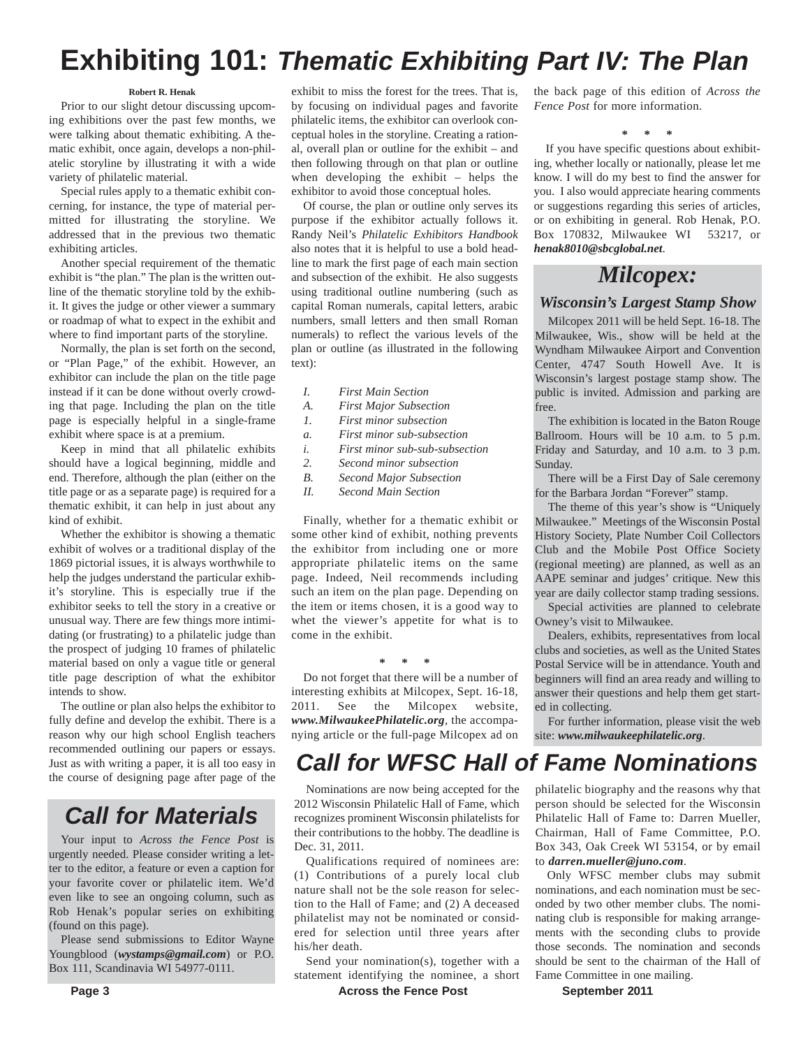## **Exhibiting 101:** *Thematic Exhibiting Part IV: The Plan*

#### **Robert R. Henak**

Prior to our slight detour discussing upcoming exhibitions over the past few months, we were talking about thematic exhibiting. A thematic exhibit, once again, develops a non-philatelic storyline by illustrating it with a wide variety of philatelic material.

Special rules apply to a thematic exhibit concerning, for instance, the type of material permitted for illustrating the storyline. We addressed that in the previous two thematic exhibiting articles.

Another special requirement of the thematic exhibit is "the plan." The plan is the written outline of the thematic storyline told by the exhibit. It gives the judge or other viewer a summary or roadmap of what to expect in the exhibit and where to find important parts of the storyline.

Normally, the plan is set forth on the second, or "Plan Page," of the exhibit. However, an exhibitor can include the plan on the title page instead if it can be done without overly crowding that page. Including the plan on the title page is especially helpful in a single-frame exhibit where space is at a premium.

Keep in mind that all philatelic exhibits should have a logical beginning, middle and end. Therefore, although the plan (either on the title page or as a separate page) is required for a thematic exhibit, it can help in just about any kind of exhibit.

Whether the exhibitor is showing a thematic exhibit of wolves or a traditional display of the 1869 pictorial issues, it is always worthwhile to help the judges understand the particular exhibit's storyline. This is especially true if the exhibitor seeks to tell the story in a creative or unusual way. There are few things more intimidating (or frustrating) to a philatelic judge than the prospect of judging 10 frames of philatelic material based on only a vague title or general title page description of what the exhibitor intends to show.

The outline or plan also helps the exhibitor to fully define and develop the exhibit. There is a reason why our high school English teachers recommended outlining our papers or essays. Just as with writing a paper, it is all too easy in the course of designing page after page of the

## *Call for Materials*

Your input to *Across the Fence Post* is urgently needed. Please consider writing a letter to the editor, a feature or even a caption for your favorite cover or philatelic item. We'd even like to see an ongoing column, such as Rob Henak's popular series on exhibiting (found on this page).

Please send submissions to Editor Wayne Youngblood (*wystamps@gmail.com*) or P.O. Box 111, Scandinavia WI 54977-0111.

exhibit to miss the forest for the trees. That is, by focusing on individual pages and favorite philatelic items, the exhibitor can overlook conceptual holes in the storyline. Creating a rational, overall plan or outline for the exhibit – and then following through on that plan or outline when developing the exhibit – helps the exhibitor to avoid those conceptual holes.

Of course, the plan or outline only serves its purpose if the exhibitor actually follows it. Randy Neil's *Philatelic Exhibitors Handbook* also notes that it is helpful to use a bold headline to mark the first page of each main section and subsection of the exhibit. He also suggests using traditional outline numbering (such as capital Roman numerals, capital letters, arabic numbers, small letters and then small Roman numerals) to reflect the various levels of the plan or outline (as illustrated in the following text):

- *I. First Main Section*
- *A. First Major Subsection*
- *1. First minor subsection*
- *a. First minor sub-subsection*
- *i. First minor sub-sub-subsection*
- *2. Second minor subsection B. Second Major Subsection*
- *II. Second Main Section*

Finally, whether for a thematic exhibit or some other kind of exhibit, nothing prevents the exhibitor from including one or more appropriate philatelic items on the same page. Indeed, Neil recommends including such an item on the plan page. Depending on the item or items chosen, it is a good way to whet the viewer's appetite for what is to come in the exhibit.

**\* \* \***

Do not forget that there will be a number of interesting exhibits at Milcopex, Sept. 16-18, 2011. See the Milcopex website, *www.MilwaukeePhilatelic.org*, the accompanying article or the full-page Milcopex ad on

#### the back page of this edition of *Across the Fence Post* for more information.

**\* \* \***

If you have specific questions about exhibiting, whether locally or nationally, please let me know. I will do my best to find the answer for you. I also would appreciate hearing comments or suggestions regarding this series of articles, or on exhibiting in general. Rob Henak, P.O. Box 170832, Milwaukee WI 53217, or *henak8010@sbcglobal.net*.

### *Milcopex:*

#### *Wisconsin's Largest Stamp Show*

Milcopex 2011 will be held Sept. 16-18. The Milwaukee, Wis., show will be held at the Wyndham Milwaukee Airport and Convention Center, 4747 South Howell Ave. It is Wisconsin's largest postage stamp show. The public is invited. Admission and parking are free.

The exhibition is located in the Baton Rouge Ballroom. Hours will be 10 a.m. to 5 p.m. Friday and Saturday, and 10 a.m. to 3 p.m. Sunday.

There will be a First Day of Sale ceremony for the Barbara Jordan "Forever" stamp.

The theme of this year's show is "Uniquely Milwaukee." Meetings of the Wisconsin Postal History Society, Plate Number Coil Collectors Club and the Mobile Post Office Society (regional meeting) are planned, as well as an AAPE seminar and judges' critique. New this year are daily collector stamp trading sessions.

Special activities are planned to celebrate Owney's visit to Milwaukee.

Dealers, exhibits, representatives from local clubs and societies, as well as the United States Postal Service will be in attendance. Youth and beginners will find an area ready and willing to answer their questions and help them get started in collecting.

For further information, please visit the web site: *www.milwaukeephilatelic.org*.

## *Call for WFSC Hall of Fame Nominations*

Nominations are now being accepted for the 2012 Wisconsin Philatelic Hall of Fame, which recognizes prominent Wisconsin philatelists for their contributions to the hobby. The deadline is Dec. 31, 2011.

Qualifications required of nominees are: (1) Contributions of a purely local club nature shall not be the sole reason for selection to the Hall of Fame; and (2) A deceased philatelist may not be nominated or considered for selection until three years after his/her death.

Send your nomination(s), together with a statement identifying the nominee, a short philatelic biography and the reasons why that person should be selected for the Wisconsin Philatelic Hall of Fame to: Darren Mueller, Chairman, Hall of Fame Committee, P.O. Box 343, Oak Creek WI 53154, or by email to *darren.mueller@juno.com*.

Only WFSC member clubs may submit nominations, and each nomination must be seconded by two other member clubs. The nominating club is responsible for making arrangements with the seconding clubs to provide those seconds. The nomination and seconds should be sent to the chairman of the Hall of Fame Committee in one mailing.

**Page 3 Across the Fence Post** September 2011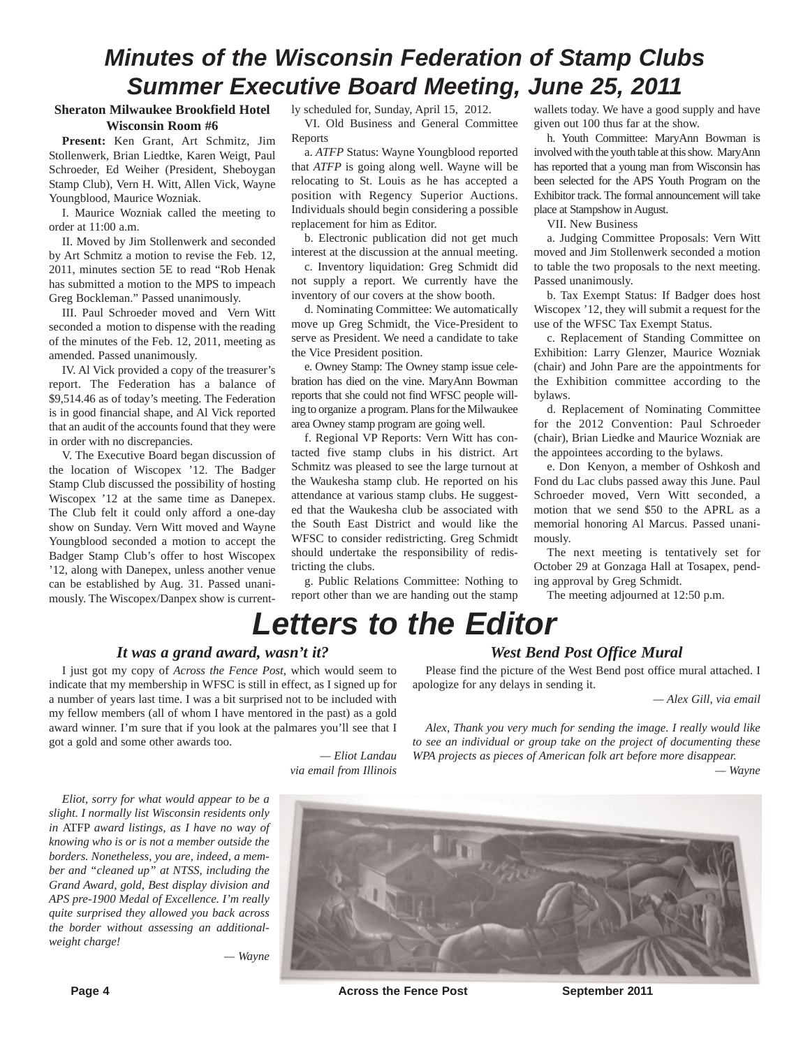## *Minutes of the Wisconsin Federation of Stamp Clubs Summer Executive Board Meeting, June 25, 2011*

#### **Sheraton Milwaukee Brookfield Hotel Wisconsin Room #6**

**Present:** Ken Grant, Art Schmitz, Jim Stollenwerk, Brian Liedtke, Karen Weigt, Paul Schroeder, Ed Weiher (President, Sheboygan Stamp Club), Vern H. Witt, Allen Vick, Wayne Youngblood, Maurice Wozniak.

I. Maurice Wozniak called the meeting to order at 11:00 a.m.

II. Moved by Jim Stollenwerk and seconded by Art Schmitz a motion to revise the Feb. 12, 2011, minutes section 5E to read "Rob Henak has submitted a motion to the MPS to impeach Greg Bockleman." Passed unanimously.

III. Paul Schroeder moved and Vern Witt seconded a motion to dispense with the reading of the minutes of the Feb. 12, 2011, meeting as amended. Passed unanimously.

IV. Al Vick provided a copy of the treasurer's report. The Federation has a balance of \$9,514.46 as of today's meeting. The Federation is in good financial shape, and Al Vick reported that an audit of the accounts found that they were in order with no discrepancies.

V. The Executive Board began discussion of the location of Wiscopex '12. The Badger Stamp Club discussed the possibility of hosting Wiscopex '12 at the same time as Danepex. The Club felt it could only afford a one-day show on Sunday. Vern Witt moved and Wayne Youngblood seconded a motion to accept the Badger Stamp Club's offer to host Wiscopex '12, along with Danepex, unless another venue can be established by Aug. 31. Passed unanimously. The Wiscopex/Danpex show is currently scheduled for, Sunday, April 15, 2012. VI. Old Business and General Committee Reports

a. *ATFP* Status: Wayne Youngblood reported that *ATFP* is going along well. Wayne will be relocating to St. Louis as he has accepted a position with Regency Superior Auctions. Individuals should begin considering a possible replacement for him as Editor.

b. Electronic publication did not get much interest at the discussion at the annual meeting.

c. Inventory liquidation: Greg Schmidt did not supply a report. We currently have the inventory of our covers at the show booth.

d. Nominating Committee: We automatically move up Greg Schmidt, the Vice-President to serve as President. We need a candidate to take the Vice President position.

e. Owney Stamp: The Owney stamp issue celebration has died on the vine. MaryAnn Bowman reports that she could not find WFSC people willing to organize a program. Plans for the Milwaukee area Owney stamp program are going well.

f. Regional VP Reports: Vern Witt has contacted five stamp clubs in his district. Art Schmitz was pleased to see the large turnout at the Waukesha stamp club. He reported on his attendance at various stamp clubs. He suggested that the Waukesha club be associated with the South East District and would like the WFSC to consider redistricting. Greg Schmidt should undertake the responsibility of redistricting the clubs.

g. Public Relations Committee: Nothing to report other than we are handing out the stamp

wallets today. We have a good supply and have given out 100 thus far at the show.

h. Youth Committee: MaryAnn Bowman is involved with the youth table at this show. MaryAnn has reported that a young man from Wisconsin has been selected for the APS Youth Program on the Exhibitor track. The formal announcement will take place at Stampshow in August.

VII. New Business

a. Judging Committee Proposals: Vern Witt moved and Jim Stollenwerk seconded a motion to table the two proposals to the next meeting. Passed unanimously.

b. Tax Exempt Status: If Badger does host Wiscopex '12, they will submit a request for the use of the WFSC Tax Exempt Status.

c. Replacement of Standing Committee on Exhibition: Larry Glenzer, Maurice Wozniak (chair) and John Pare are the appointments for the Exhibition committee according to the bylaws.

d. Replacement of Nominating Committee for the 2012 Convention: Paul Schroeder (chair), Brian Liedke and Maurice Wozniak are the appointees according to the bylaws.

e. Don Kenyon, a member of Oshkosh and Fond du Lac clubs passed away this June. Paul Schroeder moved, Vern Witt seconded, a motion that we send \$50 to the APRL as a memorial honoring Al Marcus. Passed unanimously.

The next meeting is tentatively set for October 29 at Gonzaga Hall at Tosapex, pending approval by Greg Schmidt.

The meeting adjourned at 12:50 p.m.

## *Letters to the Editor*

#### *It was a grand award, wasn't it?*

I just got my copy of *Across the Fence Post*, which would seem to indicate that my membership in WFSC is still in effect, as I signed up for a number of years last time. I was a bit surprised not to be included with my fellow members (all of whom I have mentored in the past) as a gold award winner. I'm sure that if you look at the palmares you'll see that I got a gold and some other awards too.

> *— Eliot Landau via email from Illinois*

#### *West Bend Post Office Mural*

Please find the picture of the West Bend post office mural attached. I apologize for any delays in sending it.

*— Alex Gill, via email*

*Alex, Thank you very much for sending the image. I really would like to see an individual or group take on the project of documenting these WPA projects as pieces of American folk art before more disappear.*

*— Wayne*

*Eliot, sorry for what would appear to be a slight. I normally list Wisconsin residents only in* ATFP *award listings, as I have no way of knowing who is or is not a member outside the borders. Nonetheless, you are, indeed, a member and "cleaned up" at NTSS, including the Grand Award, gold, Best display division and APS pre-1900 Medal of Excellence. I'm really quite surprised they allowed you back across the border without assessing an additionalweight charge!*





**Page 4 Conserverse Exercise September 2011 Across the Fence Post September 2011**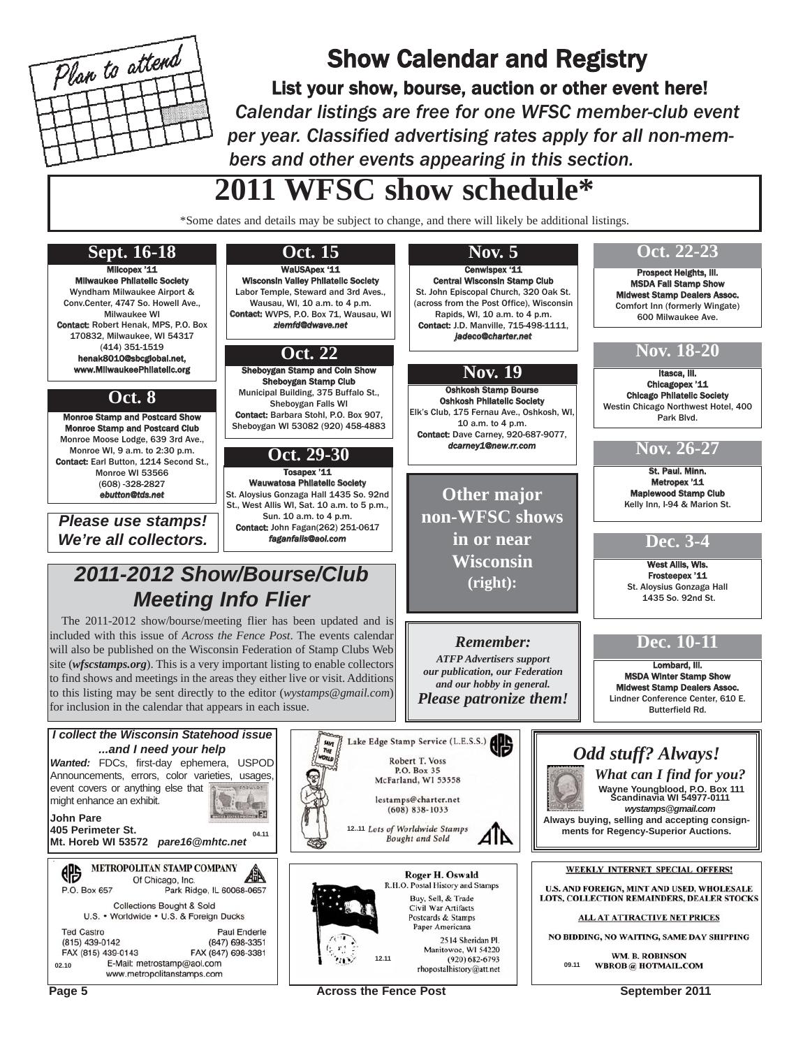

## Show Calendar and Registry

List your show, bourse, auction or other event here! *Calendar listings are free for one WFSC member-club event per year. Classified advertising rates apply for all non-members and other events appearing in this section.*

## **2011 WFSC show schedule\***

\*Some dates and details may be subject to change, and there will likely be additional listings.



Page 5 **Across the Fence Post** September 2011